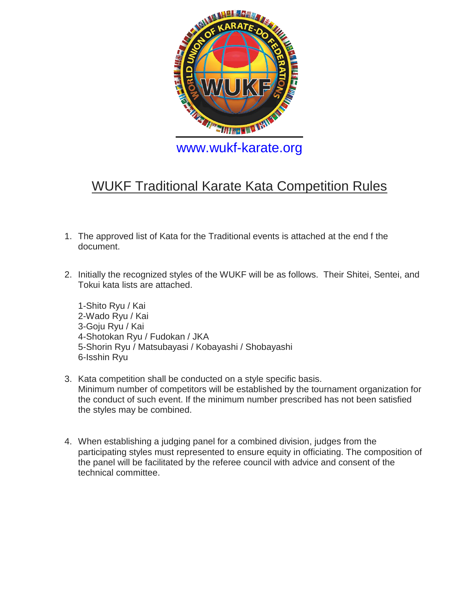

## WUKF Traditional Karate Kata Competition Rules

- 1. The approved list of Kata for the Traditional events is attached at the end f the document.
- 2. Initially the recognized styles of the WUKF will be as follows. Their Shitei, Sentei, and Tokui kata lists are attached.
	- 1-Shito Ryu / Kai 2-Wado Ryu / Kai 3-Goju Ryu / Kai 4-Shotokan Ryu / Fudokan / JKA 5-Shorin Ryu / Matsubayasi / Kobayashi / Shobayashi 6-Isshin Ryu
- 3. Kata competition shall be conducted on a style specific basis. Minimum number of competitors will be established by the tournament organization for the conduct of such event. If the minimum number prescribed has not been satisfied the styles may be combined.
- 4. When establishing a judging panel for a combined division, judges from the participating styles must represented to ensure equity in officiating. The composition of the panel will be facilitated by the referee council with advice and consent of the technical committee.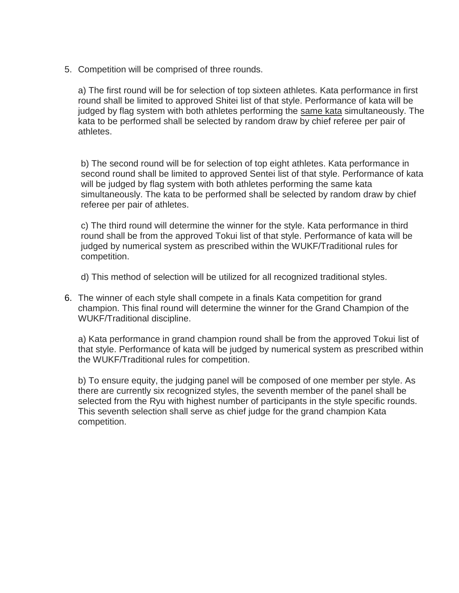5. Competition will be comprised of three rounds.

a) The first round will be for selection of top sixteen athletes. Kata performance in first round shall be limited to approved Shitei list of that style. Performance of kata will be judged by flag system with both athletes performing the same kata simultaneously. The kata to be performed shall be selected by random draw by chief referee per pair of athletes.

b) The second round will be for selection of top eight athletes. Kata performance in second round shall be limited to approved Sentei list of that style. Performance of kata will be judged by flag system with both athletes performing the same kata simultaneously. The kata to be performed shall be selected by random draw by chief referee per pair of athletes.

c) The third round will determine the winner for the style. Kata performance in third round shall be from the approved Tokui list of that style. Performance of kata will be judged by numerical system as prescribed within the WUKF/Traditional rules for competition.

d) This method of selection will be utilized for all recognized traditional styles.

6. The winner of each style shall compete in a finals Kata competition for grand champion. This final round will determine the winner for the Grand Champion of the WUKF/Traditional discipline.

a) Kata performance in grand champion round shall be from the approved Tokui list of that style. Performance of kata will be judged by numerical system as prescribed within the WUKF/Traditional rules for competition.

b) To ensure equity, the judging panel will be composed of one member per style. As there are currently six recognized styles, the seventh member of the panel shall be selected from the Ryu with highest number of participants in the style specific rounds. This seventh selection shall serve as chief judge for the grand champion Kata competition.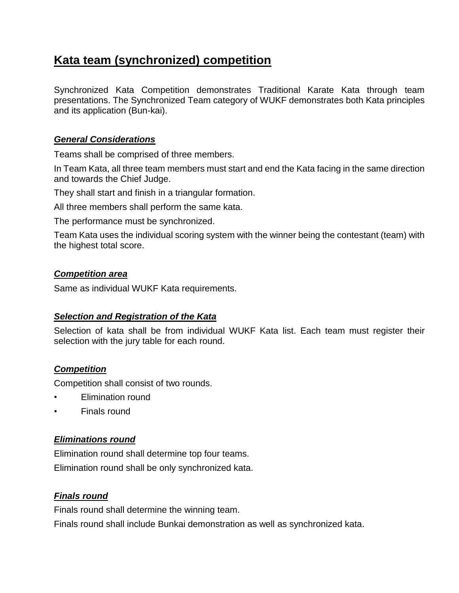### **Kata team (synchronized) competition**

Synchronized Kata Competition demonstrates Traditional Karate Kata through team presentations. The Synchronized Team category of WUKF demonstrates both Kata principles and its application (Bun-kai).

#### *General Considerations*

Teams shall be comprised of three members.

In Team Kata, all three team members must start and end the Kata facing in the same direction and towards the Chief Judge.

They shall start and finish in a triangular formation.

All three members shall perform the same kata.

The performance must be synchronized.

Team Kata uses the individual scoring system with the winner being the contestant (team) with the highest total score.

#### *Competition area*

Same as individual WUKF Kata requirements.

#### *Selection and Registration of the Kata*

Selection of kata shall be from individual WUKF Kata list. Each team must register their selection with the jury table for each round.

#### *Competition*

Competition shall consist of two rounds.

- Elimination round
- Finals round

#### *Eliminations round*

Elimination round shall determine top four teams.

Elimination round shall be only synchronized kata.

#### *Finals round*

Finals round shall determine the winning team.

Finals round shall include Bunkai demonstration as well as synchronized kata.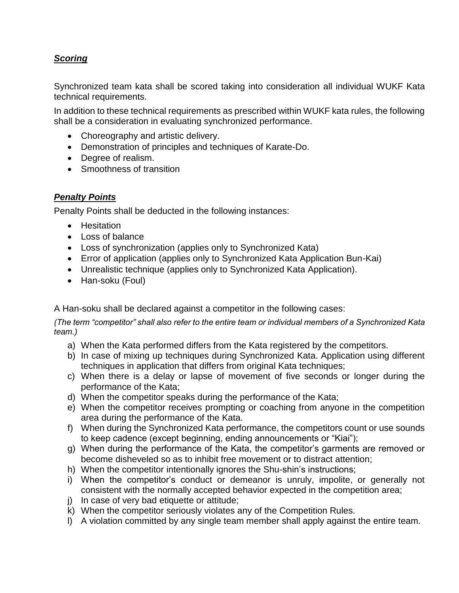#### *Scoring*

Synchronized team kata shall be scored taking into consideration all individual WUKF Kata technical requirements.

In addition to these technical requirements as prescribed within WUKF kata rules, the following shall be a consideration in evaluating synchronized performance.

- Choreography and artistic delivery.
- Demonstration of principles and techniques of Karate-Do.
- Degree of realism.
- Smoothness of transition

#### *Penalty Points*

Penalty Points shall be deducted in the following instances:

- Hesitation
- Loss of balance
- Loss of synchronization (applies only to Synchronized Kata)
- Error of application (applies only to Synchronized Kata Application Bun-Kai)
- Unrealistic technique (applies only to Synchronized Kata Application).
- Han-soku (Foul)

A Han-soku shall be declared against a competitor in the following cases:

*(The term "competitor" shall also refer to the entire team or individual members of a Synchronized Kata team.)*

- a) When the Kata performed differs from the Kata registered by the competitors.
- b) In case of mixing up techniques during Synchronized Kata. Application using different techniques in application that differs from original Kata techniques;
- c) When there is a delay or lapse of movement of five seconds or longer during the performance of the Kata;
- d) When the competitor speaks during the performance of the Kata;
- e) When the competitor receives prompting or coaching from anyone in the competition area during the performance of the Kata.
- f) When during the Synchronized Kata performance, the competitors count or use sounds to keep cadence (except beginning, ending announcements or "Kiai");
- g) When during the performance of the Kata, the competitor's garments are removed or become disheveled so as to inhibit free movement or to distract attention;
- h) When the competitor intentionally ignores the Shu-shin's instructions;
- i) When the competitor's conduct or demeanor is unruly, impolite, or generally not consistent with the normally accepted behavior expected in the competition area;
- j) In case of very bad etiquette or attitude;
- k) When the competitor seriously violates any of the Competition Rules.
- l) A violation committed by any single team member shall apply against the entire team.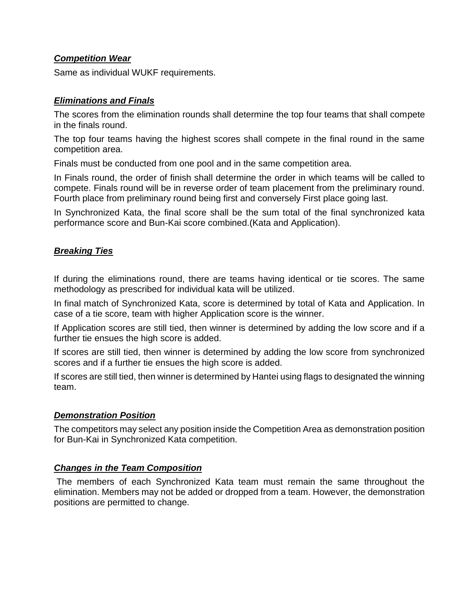#### *Competition Wear*

Same as individual WUKF requirements.

#### *Eliminations and Finals*

The scores from the elimination rounds shall determine the top four teams that shall compete in the finals round.

The top four teams having the highest scores shall compete in the final round in the same competition area.

Finals must be conducted from one pool and in the same competition area.

In Finals round, the order of finish shall determine the order in which teams will be called to compete. Finals round will be in reverse order of team placement from the preliminary round. Fourth place from preliminary round being first and conversely First place going last.

In Synchronized Kata, the final score shall be the sum total of the final synchronized kata performance score and Bun-Kai score combined.(Kata and Application).

#### *Breaking Ties*

If during the eliminations round, there are teams having identical or tie scores. The same methodology as prescribed for individual kata will be utilized.

In final match of Synchronized Kata, score is determined by total of Kata and Application. In case of a tie score, team with higher Application score is the winner.

If Application scores are still tied, then winner is determined by adding the low score and if a further tie ensues the high score is added.

If scores are still tied, then winner is determined by adding the low score from synchronized scores and if a further tie ensues the high score is added.

If scores are still tied, then winner is determined by Hantei using flags to designated the winning team.

#### *Demonstration Position*

The competitors may select any position inside the Competition Area as demonstration position for Bun-Kai in Synchronized Kata competition.

#### *Changes in the Team Composition*

The members of each Synchronized Kata team must remain the same throughout the elimination. Members may not be added or dropped from a team. However, the demonstration positions are permitted to change.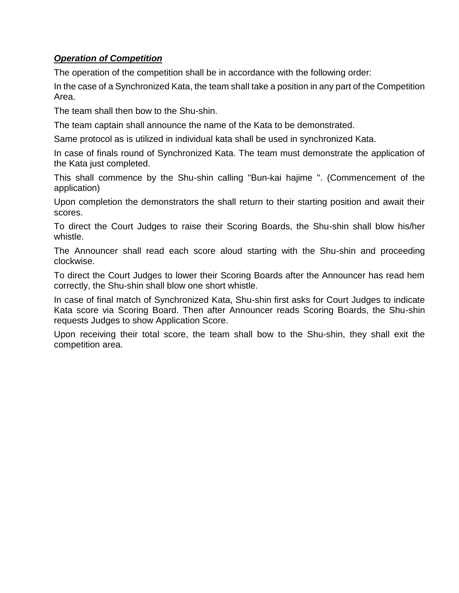#### *Operation of Competition*

The operation of the competition shall be in accordance with the following order:

In the case of a Synchronized Kata, the team shall take a position in any part of the Competition Area.

The team shall then bow to the Shu-shin.

The team captain shall announce the name of the Kata to be demonstrated.

Same protocol as is utilized in individual kata shall be used in synchronized Kata.

In case of finals round of Synchronized Kata. The team must demonstrate the application of the Kata just completed.

This shall commence by the Shu-shin calling "Bun-kai hajime ". (Commencement of the application)

Upon completion the demonstrators the shall return to their starting position and await their scores.

To direct the Court Judges to raise their Scoring Boards, the Shu-shin shall blow his/her whistle.

The Announcer shall read each score aloud starting with the Shu-shin and proceeding clockwise.

To direct the Court Judges to lower their Scoring Boards after the Announcer has read hem correctly, the Shu-shin shall blow one short whistle.

In case of final match of Synchronized Kata, Shu-shin first asks for Court Judges to indicate Kata score via Scoring Board. Then after Announcer reads Scoring Boards, the Shu-shin requests Judges to show Application Score.

Upon receiving their total score, the team shall bow to the Shu-shin, they shall exit the competition area.